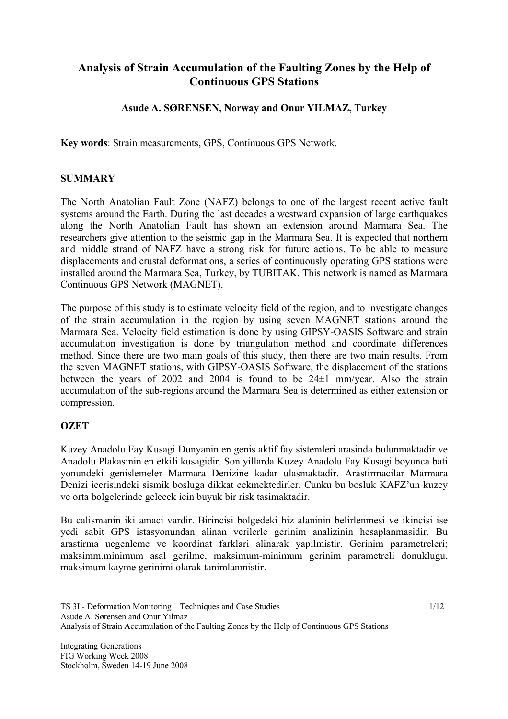# **Analysis of Strain Accumulation of the Faulting Zones by the Help of Continuous GPS Stations**

# **Asude A. SØRENSEN, Norway and Onur YILMAZ, Turkey**

**Key words**: Strain measurements, GPS, Continuous GPS Network.

#### **SUMMARY**

The North Anatolian Fault Zone (NAFZ) belongs to one of the largest recent active fault systems around the Earth. During the last decades a westward expansion of large earthquakes along the North Anatolian Fault has shown an extension around Marmara Sea. The researchers give attention to the seismic gap in the Marmara Sea. It is expected that northern and middle strand of NAFZ have a strong risk for future actions. To be able to measure displacements and crustal deformations, a series of continuously operating GPS stations were installed around the Marmara Sea, Turkey, by TUBITAK. This network is named as Marmara Continuous GPS Network (MAGNET).

The purpose of this study is to estimate velocity field of the region, and to investigate changes of the strain accumulation in the region by using seven MAGNET stations around the Marmara Sea. Velocity field estimation is done by using GIPSY-OASIS Software and strain accumulation investigation is done by triangulation method and coordinate differences method. Since there are two main goals of this study, then there are two main results. From the seven MAGNET stations, with GIPSY-OASIS Software, the displacement of the stations between the years of 2002 and 2004 is found to be  $24\pm1$  mm/year. Also the strain accumulation of the sub-regions around the Marmara Sea is determined as either extension or compression.

## **OZET**

Kuzey Anadolu Fay Kusagi Dunyanin en genis aktif fay sistemleri arasinda bulunmaktadir ve Anadolu Plakasinin en etkili kusagidir. Son yillarda Kuzey Anadolu Fay Kusagi boyunca bati yonundeki genislemeler Marmara Denizine kadar ulasmaktadir. Arastirmacilar Marmara Denizi icerisindeki sismik bosluga dikkat cekmektedirler. Cunku bu bosluk KAFZ'un kuzey ve orta bolgelerinde gelecek icin buyuk bir risk tasimaktadir.

Bu calismanin iki amaci vardir. Birincisi bolgedeki hiz alaninin belirlenmesi ve ikincisi ise yedi sabit GPS istasyonundan alinan verilerle gerinim analizinin hesaplanmasidir. Bu arastirma ucgenleme ve koordinat farklari alinarak yapilmistir. Gerinim parametreleri; maksimm.minimum asal gerilme, maksimum-minimum gerinim parametreli donuklugu, maksimum kayme gerinimi olarak tanimlanmistir.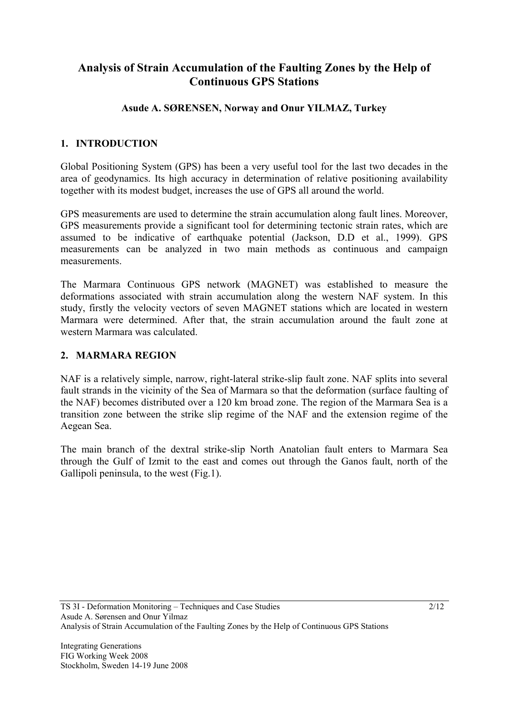# **Analysis of Strain Accumulation of the Faulting Zones by the Help of Continuous GPS Stations**

# **Asude A. SØRENSEN, Norway and Onur YILMAZ, Turkey**

# **1. INTRODUCTION**

Global Positioning System (GPS) has been a very useful tool for the last two decades in the area of geodynamics. Its high accuracy in determination of relative positioning availability together with its modest budget, increases the use of GPS all around the world.

GPS measurements are used to determine the strain accumulation along fault lines. Moreover, GPS measurements provide a significant tool for determining tectonic strain rates, which are assumed to be indicative of earthquake potential (Jackson, D.D et al., 1999). GPS measurements can be analyzed in two main methods as continuous and campaign measurements.

The Marmara Continuous GPS network (MAGNET) was established to measure the deformations associated with strain accumulation along the western NAF system. In this study, firstly the velocity vectors of seven MAGNET stations which are located in western Marmara were determined. After that, the strain accumulation around the fault zone at western Marmara was calculated.

## **2. MARMARA REGION**

NAF is a relatively simple, narrow, right-lateral strike-slip fault zone. NAF splits into several fault strands in the vicinity of the Sea of Marmara so that the deformation (surface faulting of the NAF) becomes distributed over a 120 km broad zone. The region of the Marmara Sea is a transition zone between the strike slip regime of the NAF and the extension regime of the Aegean Sea.

The main branch of the dextral strike-slip North Anatolian fault enters to Marmara Sea through the Gulf of Izmit to the east and comes out through the Ganos fault, north of the Gallipoli peninsula, to the west (Fig.1).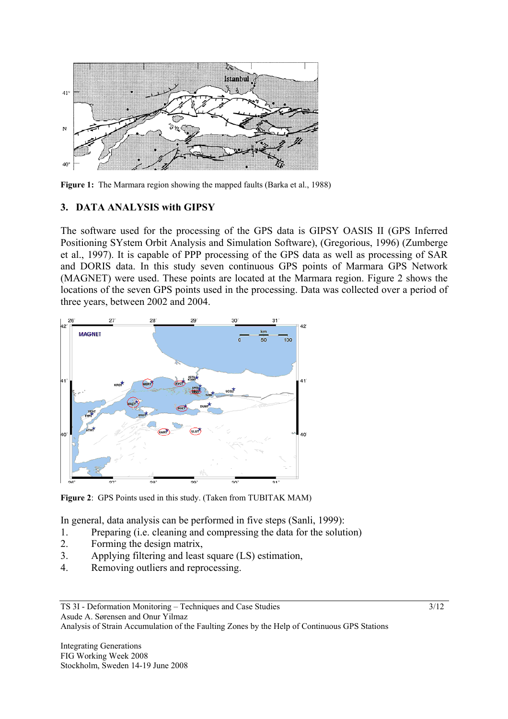

Figure 1: The Marmara region showing the mapped faults (Barka et al., 1988)

# **3. DATA ANALYSIS with GIPSY**

The software used for the processing of the GPS data is GIPSY OASIS II (GPS Inferred Positioning SYstem Orbit Analysis and Simulation Software), (Gregorious, 1996) (Zumberge et al., 1997). It is capable of PPP processing of the GPS data as well as processing of SAR and DORIS data. In this study seven continuous GPS points of Marmara GPS Network (MAGNET) were used. These points are located at the Marmara region. Figure 2 shows the locations of the seven GPS points used in the processing. Data was collected over a period of three years, between 2002 and 2004.



**Figure 2**: GPS Points used in this study. (Taken from TUBITAK MAM)

In general, data analysis can be performed in five steps (Sanli, 1999):

- 1. Preparing (i.e. cleaning and compressing the data for the solution)
- 2. Forming the design matrix,
- 3. Applying filtering and least square (LS) estimation,
- 4. Removing outliers and reprocessing.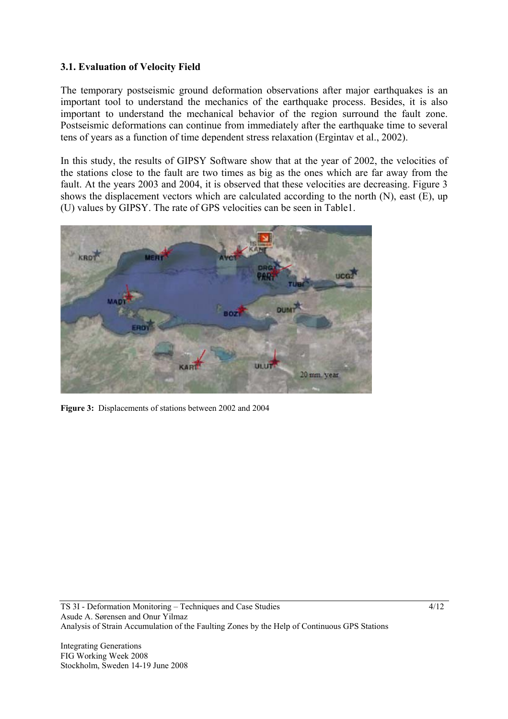## **3.1. Evaluation of Velocity Field**

The temporary postseismic ground deformation observations after major earthquakes is an important tool to understand the mechanics of the earthquake process. Besides, it is also important to understand the mechanical behavior of the region surround the fault zone. Postseismic deformations can continue from immediately after the earthquake time to several tens of years as a function of time dependent stress relaxation (Ergintav et al., 2002).

In this study, the results of GIPSY Software show that at the year of 2002, the velocities of the stations close to the fault are two times as big as the ones which are far away from the fault. At the years 2003 and 2004, it is observed that these velocities are decreasing. Figure 3 shows the displacement vectors which are calculated according to the north (N), east (E), up (U) values by GIPSY. The rate of GPS velocities can be seen in Table1.



**Figure 3:** Displacements of stations between 2002 and 2004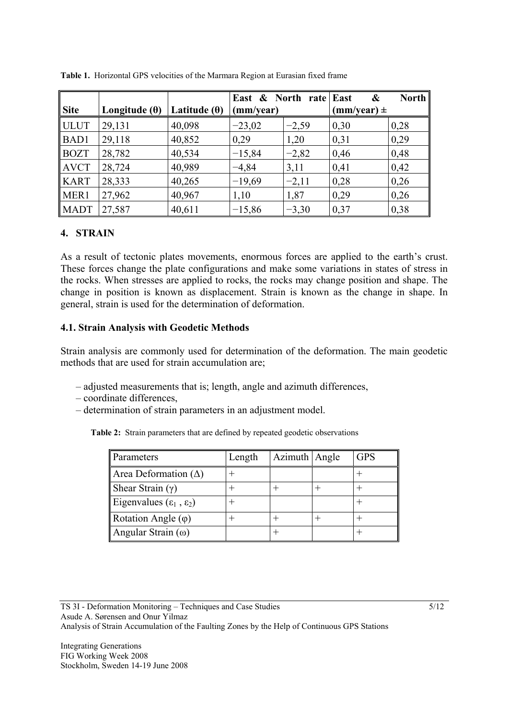|             |                      |                     | East & North rate East |         | &               | <b>North</b> |
|-------------|----------------------|---------------------|------------------------|---------|-----------------|--------------|
| <b>Site</b> | Longitude $(\theta)$ | Latitude $(\theta)$ | (mm/year)              |         | $(mm/year) \pm$ |              |
| <b>ULUT</b> | 29,131               | 40,098              | $-23,02$               | $-2,59$ | 0,30            | 0,28         |
| BAD1        | 29,118               | 40,852              | 0,29                   | 1,20    | 0,31            | 0,29         |
| <b>BOZT</b> | 28,782               | 40,534              | $-15,84$               | $-2,82$ | 0,46            | 0,48         |
| <b>AVCT</b> | 28,724               | 40,989              | $-4,84$                | 3,11    | 0,41            | 0,42         |
| <b>KART</b> | 28,333               | 40,265              | $-19,69$               | $-2,11$ | 0,28            | 0,26         |
| MER1        | 27,962               | 40,967              | 1,10                   | 1,87    | 0,29            | 0,26         |
| <b>MADT</b> | 27,587               | 40,611              | $-15,86$               | $-3,30$ | 0,37            | 0,38         |

**Table 1.** Horizontal GPS velocities of the Marmara Region at Eurasian fixed frame

#### **4. STRAIN**

As a result of tectonic plates movements, enormous forces are applied to the earth's crust. These forces change the plate configurations and make some variations in states of stress in the rocks. When stresses are applied to rocks, the rocks may change position and shape. The change in position is known as displacement. Strain is known as the change in shape. In general, strain is used for the determination of deformation.

#### **4.1. Strain Analysis with Geodetic Methods**

Strain analysis are commonly used for determination of the deformation. The main geodetic methods that are used for strain accumulation are;

- adjusted measurements that is; length, angle and azimuth differences,
- coordinate differences,
- determination of strain parameters in an adjustment model.

**Table 2:** Strain parameters that are defined by repeated geodetic observations

| Parameters                             | Length | Azimuth Angle | <b>GPS</b> |
|----------------------------------------|--------|---------------|------------|
| Area Deformation $(\Delta)$            |        |               |            |
| Shear Strain $(\gamma)$                |        |               |            |
| Eigenvalues $(\epsilon_1, \epsilon_2)$ |        |               |            |
| Rotation Angle $(\varphi)$             |        |               |            |
| Angular Strain $(\omega)$              |        |               |            |

TS 3I - Deformation Monitoring – Techniques and Case Studies Asude A. Sørensen and Onur Yilmaz Analysis of Strain Accumulation of the Faulting Zones by the Help of Continuous GPS Stations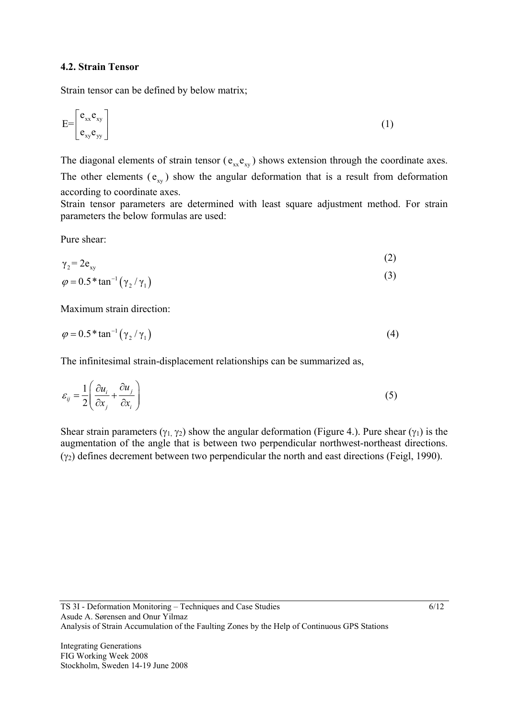#### **4.2. Strain Tensor**

Strain tensor can be defined by below matrix;

$$
E = \begin{bmatrix} e_{xx} e_{xy} \\ e_{xy} e_{yy} \end{bmatrix}
$$
 (1)

The diagonal elements of strain tensor ( $e_{xx}e_{xy}$ ) shows extension through the coordinate axes. The other elements  $(e_{xy})$  show the angular deformation that is a result from deformation according to coordinate axes.

Strain tensor parameters are determined with least square adjustment method. For strain parameters the below formulas are used:

Pure shear:

$$
\gamma_2 = 2e_{xy} \tag{2}
$$

$$
\varphi = 0.5 \cdot \tan^{-1} \left( \gamma_2 / \gamma_1 \right) \tag{3}
$$

Maximum strain direction:

$$
\varphi = 0.5 \cdot \tan^{-1} \left( \gamma_2 / \gamma_1 \right) \tag{4}
$$

The infinitesimal strain-displacement relationships can be summarized as,

$$
\varepsilon_{ij} = \frac{1}{2} \left( \frac{\partial u_i}{\partial x_j} + \frac{\partial u_j}{\partial x_i} \right) \tag{5}
$$

Shear strain parameters ( $\gamma_1$ ,  $\gamma_2$ ) show the angular deformation (Figure 4.). Pure shear ( $\gamma_1$ ) is the augmentation of the angle that is between two perpendicular northwest-northeast directions.  $(γ<sub>2</sub>)$  defines decrement between two perpendicular the north and east directions (Feigl, 1990).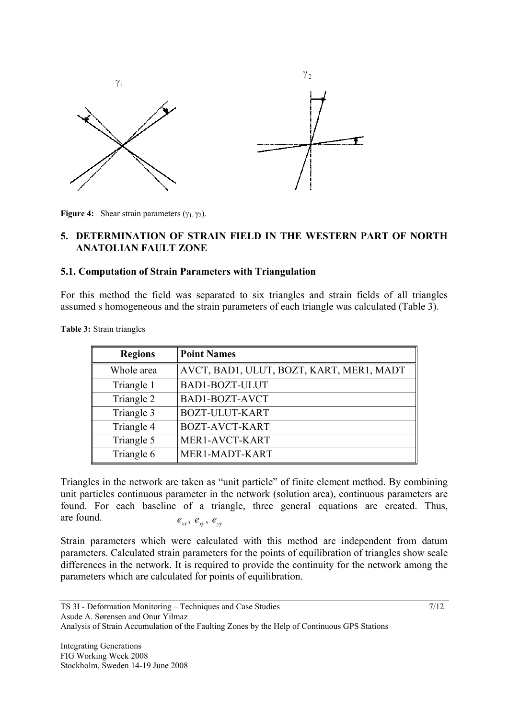

**Figure 4:** Shear strain parameters ( $\gamma_1$   $\gamma_2$ ).

#### **5. DETERMINATION OF STRAIN FIELD IN THE WESTERN PART OF NORTH ANATOLIAN FAULT ZONE**

#### **5.1. Computation of Strain Parameters with Triangulation**

For this method the field was separated to six triangles and strain fields of all triangles assumed s homogeneous and the strain parameters of each triangle was calculated (Table 3).

**Table 3:** Strain triangles

| <b>Regions</b> | <b>Point Names</b>                       |
|----------------|------------------------------------------|
| Whole area     | AVCT, BAD1, ULUT, BOZT, KART, MER1, MADT |
| Triangle 1     | BAD1-BOZT-ULUT                           |
| Triangle 2     | BAD1-BOZT-AVCT                           |
| Triangle 3     | <b>BOZT-ULUT-KART</b>                    |
| Triangle 4     | <b>BOZT-AVCT-KART</b>                    |
| Triangle 5     | MER1-AVCT-KART                           |
| Triangle 6     | MER1-MADT-KART                           |

Triangles in the network are taken as "unit particle" of finite element method. By combining unit particles continuous parameter in the network (solution area), continuous parameters are found. For each baseline of a triangle, three general equations are created. Thus, are found.  $e_{xx}, e_{xy}, e_{yy}$ 

Strain parameters which were calculated with this method are independent from datum parameters. Calculated strain parameters for the points of equilibration of triangles show scale differences in the network. It is required to provide the continuity for the network among the parameters which are calculated for points of equilibration.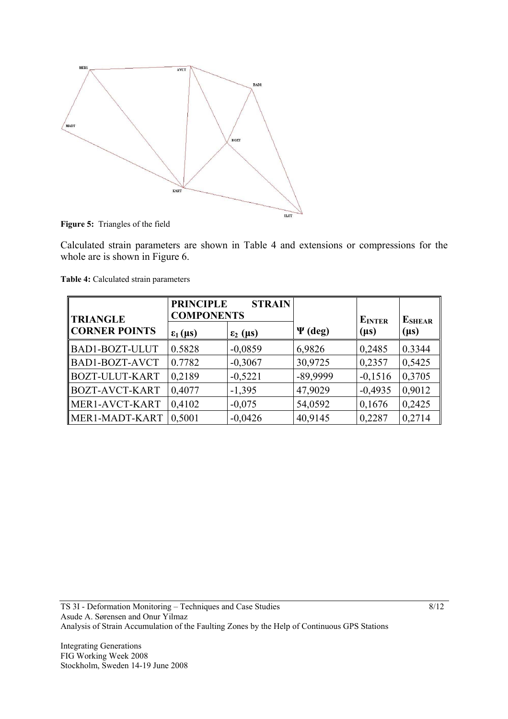

**Figure 5:** Triangles of the field

Calculated strain parameters are shown in Table 4 and extensions or compressions for the whole are is shown in Figure 6.

|                                         | <b>PRINCIPLE</b><br><b>STRAIN</b><br><b>COMPONENTS</b> |                   |              |                            |                             |
|-----------------------------------------|--------------------------------------------------------|-------------------|--------------|----------------------------|-----------------------------|
| <b>TRIANGLE</b><br><b>CORNER POINTS</b> | $\epsilon_1(\mu s)$                                    | $\epsilon_2$ (µs) | $\Psi$ (deg) | <b>EINTER</b><br>$(\mu s)$ | <b>E</b> SHEAR<br>$(\mu s)$ |
| <b>BAD1-BOZT-ULUT</b>                   | 0.5828                                                 | $-0,0859$         | 6,9826       | 0,2485                     | 0.3344                      |
| BAD1-BOZT-AVCT                          | 0.7782                                                 | $-0,3067$         | 30,9725      | 0,2357                     | 0,5425                      |
| BOZT-ULUT-KART                          | 0,2189                                                 | $-0,5221$         | -89,9999     | $-0,1516$                  | 0,3705                      |
| <b>BOZT-AVCT-KART</b>                   | 0,4077                                                 | $-1,395$          | 47,9029      | $-0,4935$                  | 0,9012                      |
| MER1-AVCT-KART                          | 0,4102                                                 | $-0,075$          | 54,0592      | 0,1676                     | 0,2425                      |
| MER1-MADT-KART                          | 0.5001                                                 | $-0,0426$         | 40,9145      | 0,2287                     | 0,2714                      |

**Table 4:** Calculated strain parameters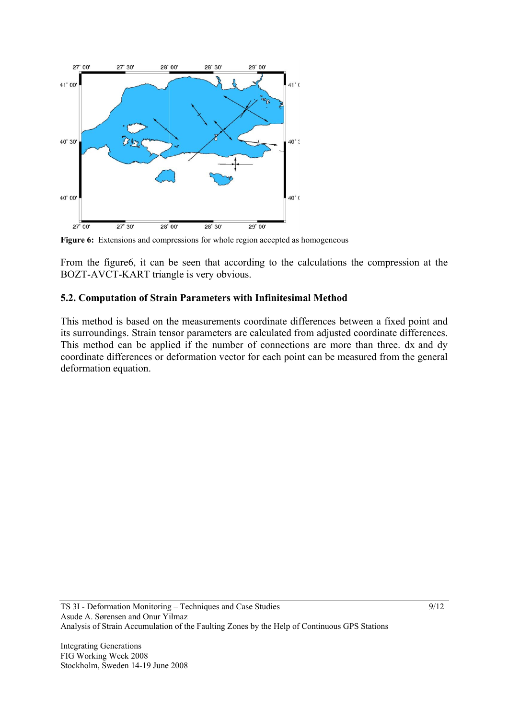

**Figure 6:** Extensions and compressions for whole region accepted as homogeneous

From the figure6, it can be seen that according to the calculations the compression at the BOZT-AVCT-KART triangle is very obvious.

#### **5.2. Computation of Strain Parameters with Infinitesimal Method**

This method is based on the measurements coordinate differences between a fixed point and its surroundings. Strain tensor parameters are calculated from adjusted coordinate differences. This method can be applied if the number of connections are more than three. dx and dy coordinate differences or deformation vector for each point can be measured from the general deformation equation.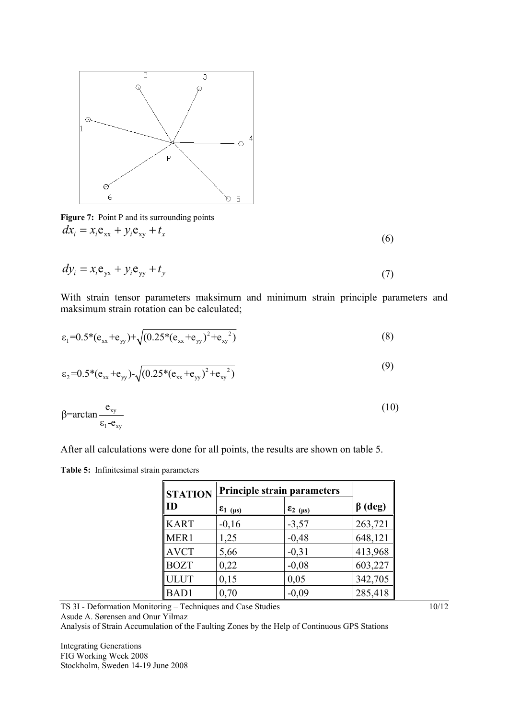

Figure 7: Point P and its surrounding points  $dx_i = x_i \mathbf{e}_{xx} + y_i \mathbf{e}_{xy} + t_x$ 

$$
dy_i = x_i \mathbf{e}_{yx} + y_i \mathbf{e}_{yy} + t_y \tag{7}
$$

With strain tensor parameters maksimum and minimum strain principle parameters and maksimum strain rotation can be calculated;

$$
\varepsilon_1 = 0.5^*(e_{xx} + e_{yy}) + \sqrt{(0.25^*(e_{xx} + e_{yy})^2 + e_{xy}^2)}
$$
\n(8)

$$
\varepsilon_2 = 0.5^*(e_{xx} + e_{yy}) - \sqrt{(0.25^*(e_{xx} + e_{yy})^2 + e_{xy}^2)}
$$
\n(9)

$$
\beta = \arctan \frac{e_{xy}}{\varepsilon_1 - e_{xy}} \tag{10}
$$

After all calculations were done for all points, the results are shown on table 5.

**Table 5:** Infinitesimal strain parameters

| <b>STATION</b> | <b>Principle strain parameters</b> |                            |               |
|----------------|------------------------------------|----------------------------|---------------|
| ID             | $\epsilon_{1(\mu s)}$              | $\epsilon_{2}$ ( $\mu s$ ) | $\beta$ (deg) |
| <b>KART</b>    | $-0,16$                            | $-3,57$                    | 263,721       |
| MER1           | 1,25                               | $-0,48$                    | 648,121       |
| <b>AVCT</b>    | 5,66                               | $-0,31$                    | 413,968       |
| <b>BOZT</b>    | 0,22                               | $-0,08$                    | 603,227       |
| <b>ULUT</b>    | 0,15                               | 0,05                       | 342,705       |
| <b>BAD1</b>    | 0,70                               | $-0,09$                    | 285,418       |

TS 3I - Deformation Monitoring – Techniques and Case Studies Asude A. Sørensen and Onur Yilmaz Analysis of Strain Accumulation of the Faulting Zones by the Help of Continuous GPS Stations

Integrating Generations FIG Working Week 2008 Stockholm, Sweden 14-19 June 2008 10/12

(6)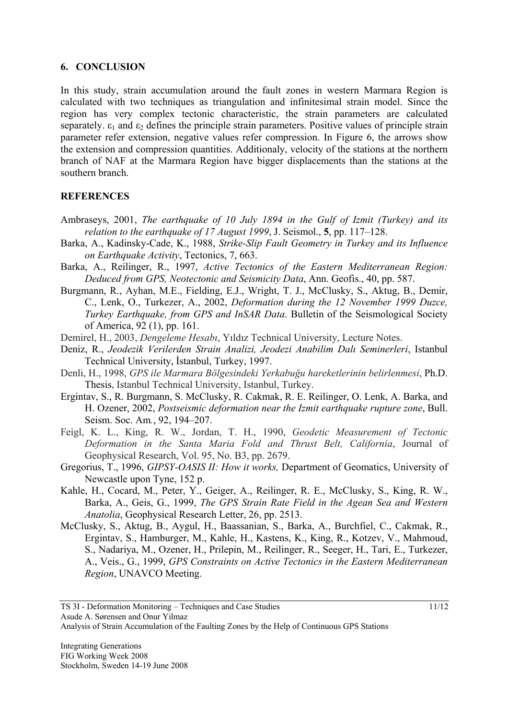#### **6. CONCLUSION**

In this study, strain accumulation around the fault zones in western Marmara Region is calculated with two techniques as triangulation and infinitesimal strain model. Since the region has very complex tectonic characteristic, the strain parameters are calculated separately.  $\varepsilon_1$  and  $\varepsilon_2$  defines the principle strain parameters. Positive values of principle strain parameter refer extension, negative values refer compression. In Figure 6, the arrows show the extension and compression quantities. Additionaly, velocity of the stations at the northern branch of NAF at the Marmara Region have bigger displacements than the stations at the southern branch.

## **REFERENCES**

- Ambraseys, 2001, *The earthquake of 10 July 1894 in the Gulf of Izmit (Turkey) and its relation to the earthquake of 17 August 1999*, J. Seismol., **5**, pp. 117–128.
- Barka, A., Kadinsky-Cade, K., 1988, *Strike-Slip Fault Geometry in Turkey and its Influence on Earthquake Activity*, Tectonics, 7, 663.
- Barka, A., Reilinger, R., 1997, *Active Tectonics of the Eastern Mediterranean Region: Deduced from GPS, Neotectonic and Seismicity Data*, Ann. Geofis., 40, pp. 587.
- Burgmann, R., Ayhan, M.E., Fielding, E.J., Wright, T. J., McClusky, S., Aktug, B., Demir, C., Lenk, O., Turkezer, A., 2002, *Deformation during the 12 November 1999 Duzce, Turkey Earthquake, from GPS and InSAR Data*. Bulletin of the Seismological Society of America, 92 (1), pp. 161.
- Demirel, H., 2003, *Dengeleme Hesabı*, Yıldız Technical University, Lecture Notes.
- Deniz, R., *Jeodezik Verilerden Strain Analizi, Jeodezi Anabilim Dalı Seminerleri*, Istanbul Technical University, İstanbul, Turkey, 1997.
- Denli, H., 1998, *GPS ile Marmara Bölgesindeki Yerkabuğu hareketlerinin belirlenmesi*, Ph.D. Thesis, Istanbul Technical University, Istanbul, Turkey.
- Ergintav, S., R. Burgmann, S. McClusky, R. Cakmak, R. E. Reilinger, O. Lenk, A. Barka, and H. Ozener, 2002, *Postseismic deformation near the Izmit earthquake rupture zone*, Bull. Seism. Soc. Am*.*, 92, 194–207.
- Feigl, K. L., King, R. W., Jordan, T. H., 1990, *Geodetic Measurement of Tectonic Deformation in the Santa Maria Fold and Thrust Belt, California*, Journal of Geophysical Research, Vol. 95, No. B3, pp. 2679.
- Gregorius, T., 1996, *GIPSY-OASIS II: How it works,* Department of Geomatics, University of Newcastle upon Tyne, 152 p.
- Kahle, H., Cocard, M., Peter, Y., Geiger, A., Reilinger, R. E., McClusky, S., King, R. W., Barka, A., Geis, G., 1999, *The GPS Strain Rate Field in the Agean Sea and Western Anatolia*, Geophysical Research Letter, 26, pp. 2513.
- McClusky, S., Aktug, B., Aygul, H., Baassanian, S., Barka, A., Burchfiel, C., Cakmak, R., Ergintav, S., Hamburger, M., Kahle, H., Kastens, K., King, R., Kotzev, V., Mahmoud, S., Nadariya, M., Ozener, H., Prilepin, M., Reilinger, R., Seeger, H., Tari, E., Turkezer, A., Veis., G., 1999, *GPS Constraints on Active Tectonics in the Eastern Mediterranean Region*, UNAVCO Meeting.